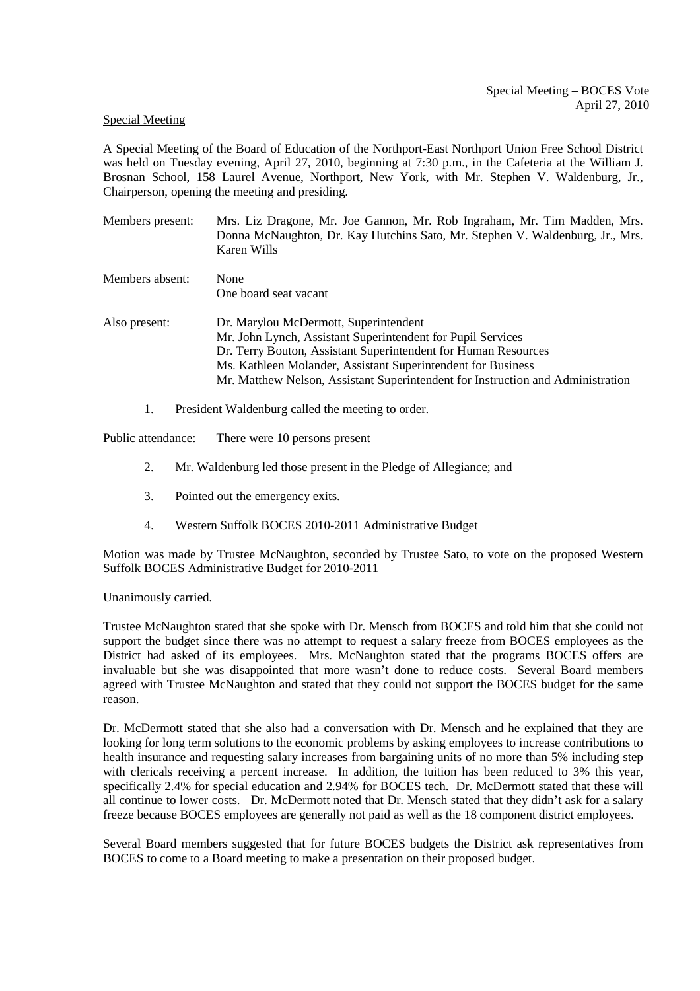## Special Meeting

A Special Meeting of the Board of Education of the Northport-East Northport Union Free School District was held on Tuesday evening, April 27, 2010, beginning at 7:30 p.m., in the Cafeteria at the William J. Brosnan School, 158 Laurel Avenue, Northport, New York, with Mr. Stephen V. Waldenburg, Jr., Chairperson, opening the meeting and presiding.

- Members present: Mrs. Liz Dragone, Mr. Joe Gannon, Mr. Rob Ingraham, Mr. Tim Madden, Mrs. Donna McNaughton, Dr. Kay Hutchins Sato, Mr. Stephen V. Waldenburg, Jr., Mrs. Karen Wills
- Members absent: None One board seat vacant Also present: Dr. Marylou McDermott, Superintendent Mr. John Lynch, Assistant Superintendent for Pupil Services Dr. Terry Bouton, Assistant Superintendent for Human Resources Ms. Kathleen Molander, Assistant Superintendent for Business Mr. Matthew Nelson, Assistant Superintendent for Instruction and Administration
	- 1. President Waldenburg called the meeting to order.

Public attendance: There were 10 persons present

- 2. Mr. Waldenburg led those present in the Pledge of Allegiance; and
- 3. Pointed out the emergency exits.
- 4. Western Suffolk BOCES 2010-2011 Administrative Budget

Motion was made by Trustee McNaughton, seconded by Trustee Sato, to vote on the proposed Western Suffolk BOCES Administrative Budget for 2010-2011

## Unanimously carried.

Trustee McNaughton stated that she spoke with Dr. Mensch from BOCES and told him that she could not support the budget since there was no attempt to request a salary freeze from BOCES employees as the District had asked of its employees. Mrs. McNaughton stated that the programs BOCES offers are invaluable but she was disappointed that more wasn't done to reduce costs. Several Board members agreed with Trustee McNaughton and stated that they could not support the BOCES budget for the same reason.

Dr. McDermott stated that she also had a conversation with Dr. Mensch and he explained that they are looking for long term solutions to the economic problems by asking employees to increase contributions to health insurance and requesting salary increases from bargaining units of no more than 5% including step with clericals receiving a percent increase. In addition, the tuition has been reduced to 3% this year, specifically 2.4% for special education and 2.94% for BOCES tech. Dr. McDermott stated that these will all continue to lower costs. Dr. McDermott noted that Dr. Mensch stated that they didn't ask for a salary freeze because BOCES employees are generally not paid as well as the 18 component district employees.

Several Board members suggested that for future BOCES budgets the District ask representatives from BOCES to come to a Board meeting to make a presentation on their proposed budget.